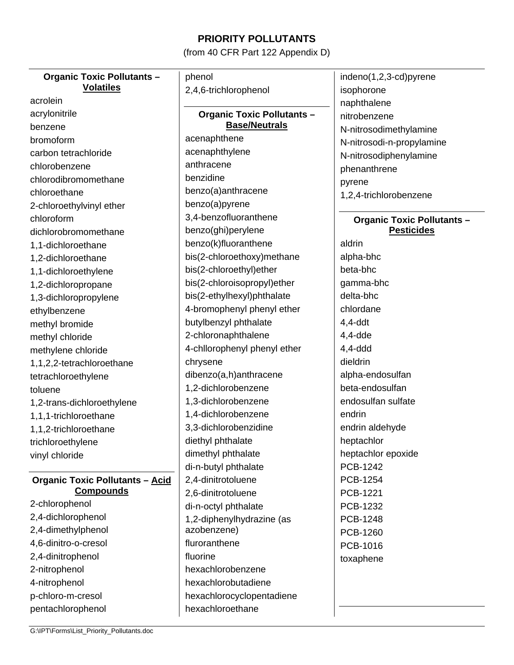## **PRIORITY POLLUTANTS**

(from 40 CFR Part 122 Appendix D)

| <b>Organic Toxic Pollutants -</b>      | phenol                            | indeno(1,2,3-cd)pyrene            |
|----------------------------------------|-----------------------------------|-----------------------------------|
| <b>Volatiles</b>                       | 2,4,6-trichlorophenol             | isophorone                        |
| acrolein                               |                                   | naphthalene                       |
| acrylonitrile                          | <b>Organic Toxic Pollutants -</b> | nitrobenzene                      |
| benzene                                | <b>Base/Neutrals</b>              | N-nitrosodimethylamine            |
| bromoform                              | acenaphthene                      | N-nitrosodi-n-propylamine         |
| carbon tetrachloride                   | acenaphthylene                    | N-nitrosodiphenylamine            |
| chlorobenzene                          | anthracene                        | phenanthrene                      |
| chlorodibromomethane                   | benzidine                         | pyrene                            |
| chloroethane                           | benzo(a)anthracene                | 1,2,4-trichlorobenzene            |
| 2-chloroethylvinyl ether               | benzo(a)pyrene                    |                                   |
| chloroform                             | 3,4-benzofluoranthene             | <b>Organic Toxic Pollutants -</b> |
| dichlorobromomethane                   | benzo(ghi)perylene                | <b>Pesticides</b>                 |
| 1,1-dichloroethane                     | benzo(k)fluoranthene              | aldrin                            |
| 1,2-dichloroethane                     | bis(2-chloroethoxy)methane        | alpha-bhc                         |
| 1,1-dichloroethylene                   | bis(2-chloroethyl)ether           | beta-bhc                          |
| 1,2-dichloropropane                    | bis(2-chloroisopropyl)ether       | gamma-bhc                         |
| 1,3-dichloropropylene                  | bis(2-ethylhexyl)phthalate        | delta-bhc                         |
| ethylbenzene                           | 4-bromophenyl phenyl ether        | chlordane                         |
| methyl bromide                         | butylbenzyl phthalate             | $4,4$ -ddt                        |
| methyl chloride                        | 2-chloronaphthalene               | $4,4$ -dde                        |
| methylene chloride                     | 4-chllorophenyl phenyl ether      | $4,4$ -ddd                        |
| 1,1,2,2-tetrachloroethane              | chrysene                          | dieldrin                          |
| tetrachloroethylene                    | dibenzo(a,h)anthracene            | alpha-endosulfan                  |
| toluene                                | 1,2-dichlorobenzene               | beta-endosulfan                   |
| 1,2-trans-dichloroethylene             | 1,3-dichlorobenzene               | endosulfan sulfate                |
| 1,1,1-trichloroethane                  | 1,4-dichlorobenzene               | endrin                            |
| 1,1,2-trichloroethane                  | 3,3-dichlorobenzidine             | endrin aldehyde                   |
| trichloroethylene                      | diethyl phthalate                 | heptachlor                        |
| vinyl chloride                         | dimethyl phthalate                | heptachlor epoxide                |
|                                        | di-n-butyl phthalate              | PCB-1242                          |
| <b>Organic Toxic Pollutants - Acid</b> | 2,4-dinitrotoluene                | PCB-1254                          |
| <b>Compounds</b>                       | 2,6-dinitrotoluene                | PCB-1221                          |
| 2-chlorophenol                         | di-n-octyl phthalate              | PCB-1232                          |
| 2,4-dichlorophenol                     | 1,2-diphenylhydrazine (as         | PCB-1248                          |
| 2,4-dimethylphenol                     | azobenzene)                       | PCB-1260                          |
| 4,6-dinitro-o-cresol                   | fluroranthene                     | PCB-1016                          |
| 2,4-dinitrophenol                      | fluorine                          | toxaphene                         |
| 2-nitrophenol                          | hexachlorobenzene                 |                                   |
| 4-nitrophenol                          | hexachlorobutadiene               |                                   |
| p-chloro-m-cresol                      | hexachlorocyclopentadiene         |                                   |
| pentachlorophenol                      | hexachloroethane                  |                                   |
|                                        |                                   |                                   |